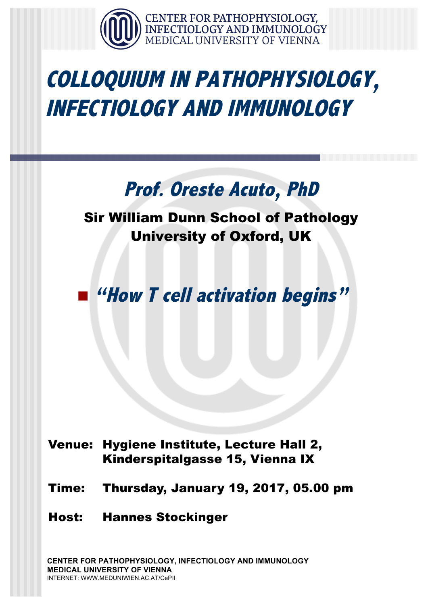

## **COLLOQUIUM IN PATHOPHYSIOLOGY, INFECTIOLOGY AND IMMUNOLOGY**

## **Prof. Oreste Acuto, PhD**

### Sir William Dunn School of Pathology University of Oxford, UK

### n **"How T cell activation begins"**

#### Venue: Hygiene Institute, Lecture Hall 2, Kinderspitalgasse 15, Vienna IX

- Time: Thursday, January 19, 2017, 05.00 pm
- Host: Hannes Stockinger